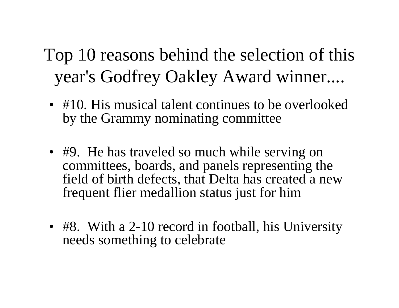## Top 10 reasons behind the selection of this year's Godfrey Oakley Award winner....

- #10. His musical talent continues to be overlooked by the Grammy nominating committee
- #9. He has traveled so much while serving on committees, boards, and panels representing the field of birth defects, that Delta has created a new frequent flier medallion status just for him
- #8. With a 2-10 record in football, his University needs something to celebrate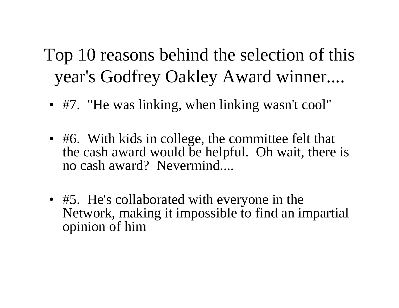## Top 10 reasons behind the selection of this year's Godfrey Oakley Award winner....

- #7. "He was linking, when linking wasn't cool"
- #6. With kids in college, the committee felt that the cash award would be helpful. Oh wait, there is no cash award? Nevermind....
- #5. He's collaborated with everyone in the Network, making it impossible to find an impartial opinion of him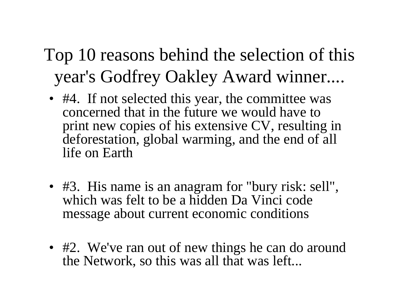- Top 10 reasons behind the selection of this year's Godfrey Oakley Award winner....
	- #4. If not selected this year, the committee was concerned that in the future we would have to print new copies of his extensive CV, resulting in deforestation, global warming, and the end of all life on Earth
	- #3. His name is an anagram for "bury risk: sell", which was felt to be a hidden Da Vinci code message about current economic conditions
	- #2. We've ran out of new things he can do around the Network, so this was all that was left...